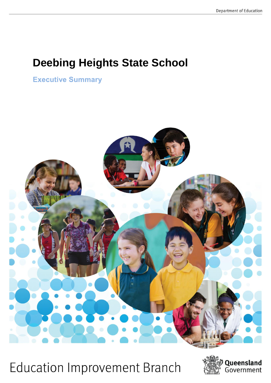# **Deebing Heights State School**

**Executive Summary** 



**Education Improvement Branch** 

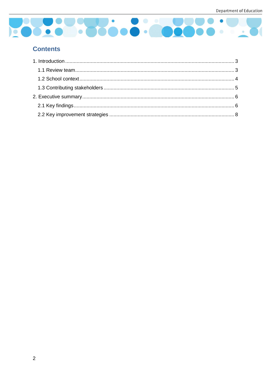

## **Contents**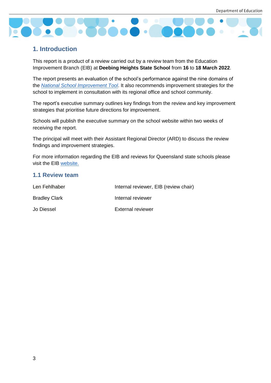

## <span id="page-2-0"></span>**1. Introduction**

This report is a product of a review carried out by a review team from the Education Improvement Branch (EIB) at **Deebing Heights State School** from **16** to **18 March 2022**.

The report presents an evaluation of the school's performance against the nine domains of the *[National School Improvement Tool](https://www.acer.org/au/school-improvement/improvement-tools/national-school-improvement-tool)*. It also recommends improvement strategies for the school to implement in consultation with its regional office and school community.

The report's executive summary outlines key findings from the review and key improvement strategies that prioritise future directions for improvement.

Schools will publish the executive summary on the school website within two weeks of receiving the report.

The principal will meet with their Assistant Regional Director (ARD) to discuss the review findings and improvement strategies.

For more information regarding the EIB and reviews for Queensland state schools please visit the EIB [website.](https://schoolreviews.education.qld.gov.au/)

#### <span id="page-2-1"></span>**1.1 Review team**

| Len Fehlhaber        | Internal reviewer, EIB (review chair) |
|----------------------|---------------------------------------|
| <b>Bradley Clark</b> | Internal reviewer                     |
| Jo Diessel           | <b>External reviewer</b>              |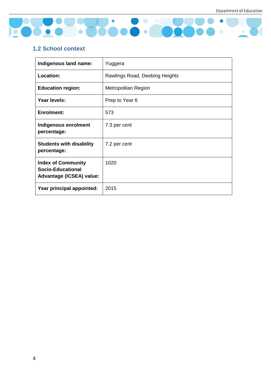

## <span id="page-3-0"></span>**1.2 School context**

| Indigenous land name:                                                             | Yuggera                        |
|-----------------------------------------------------------------------------------|--------------------------------|
| <b>Location:</b>                                                                  | Rawlings Road, Deebing Heights |
| <b>Education region:</b>                                                          | Metropolitan Region            |
| Year levels:                                                                      | Prep to Year 6                 |
| <b>Enrolment:</b>                                                                 | 573                            |
| Indigenous enrolment<br>percentage:                                               | 7.3 per cent                   |
| <b>Students with disability</b><br>percentage:                                    | 7.2 per cent                   |
| <b>Index of Community</b><br><b>Socio-Educational</b><br>Advantage (ICSEA) value: | 1020                           |
| Year principal appointed:                                                         | 2015                           |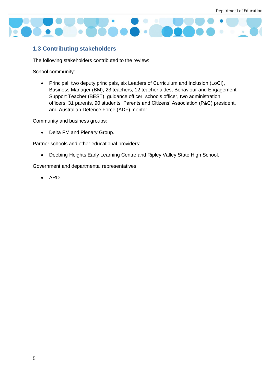

### <span id="page-4-0"></span>**1.3 Contributing stakeholders**

The following stakeholders contributed to the review:

School community:

• Principal, two deputy principals, six Leaders of Curriculum and Inclusion (LoCI), Business Manager (BM), 23 teachers, 12 teacher aides, Behaviour and Engagement Support Teacher (BEST), guidance officer, schools officer, two administration officers, 31 parents, 90 students, Parents and Citizens' Association (P&C) president, and Australian Defence Force (ADF) mentor.

Community and business groups:

• Delta FM and Plenary Group.

Partner schools and other educational providers:

• Deebing Heights Early Learning Centre and Ripley Valley State High School.

Government and departmental representatives:

• ARD.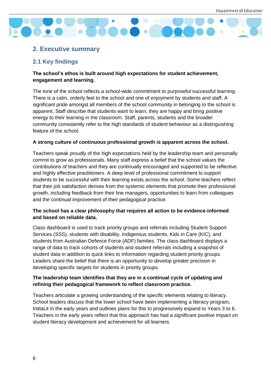

## <span id="page-5-0"></span>**2. Executive summary**

## <span id="page-5-1"></span>**2.1 Key findings**

#### **The school's ethos is built around high expectations for student achievement, engagement and learning.**

The tone of the school reflects a school-wide commitment to purposeful successful learning. There is a calm, orderly feel to the school and one of enjoyment by students and staff. A significant pride amongst all members of the school community in belonging to the school is apparent. Staff describe that students want to learn, they are happy and bring positive energy to their learning in the classroom. Staff, parents, students and the broader community consistently refer to the high standards of student behaviour as a distinguishing feature of the school.

#### **A strong culture of continuous professional growth is apparent across the school.**

Teachers speak proudly of the high expectations held by the leadership team and personally commit to grow as professionals. Many staff express a belief that the school values the contributions of teachers and they are continually encouraged and supported to be reflective and highly effective practitioners. A deep level of professional commitment to support students to be successful with their learning exists across the school. Some teachers reflect that their job satisfaction derives from the systemic elements that promote their professional growth, including feedback from their line managers, opportunities to learn from colleagues and the continual improvement of their pedagogical practice.

#### **The school has a clear philosophy that requires all action to be evidence-informed and based on reliable data.**

Class dashboard is used to track priority groups and referrals including Student Support Services (SSS), students with disability, Indigenous students, Kids in Care (KIC), and students from Australian Defence Force (ADF) families. The class dashboard displays a range of data to track cohorts of students and student referrals including a snapshot of student data in addition to quick links to information regarding student priority groups. Leaders share the belief that there is an opportunity to develop greater precision in developing specific targets for students in priority groups.

#### **The leadership team identifies that they are in a continual cycle of updating and refining their pedagogical framework to reflect classroom practice.**

Teachers articulate a growing understanding of the specific elements relating to literacy. School leaders discuss that the lower school have been implementing a literacy program, InitiaLit in the early years and outlines plans for this to progressively expand to Years 3 to 6. Teachers in the early years reflect that this approach has had a significant positive impact on student literacy development and achievement for all learners.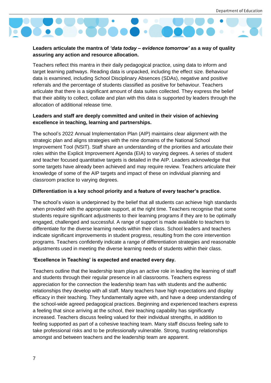

#### **Leaders articulate the mantra of** *'data today – evidence tomorrow'* **as a way of quality assuring any action and resource allocation.**

Teachers reflect this mantra in their daily pedagogical practice, using data to inform and target learning pathways. Reading data is unpacked, including the effect size. Behaviour data is examined, including School Disciplinary Absences (SDAs), negative and positive referrals and the percentage of students classified as positive for behaviour. Teachers articulate that there is a significant amount of data suites collected. They express the belief that their ability to collect, collate and plan with this data is supported by leaders through the allocation of additional release time.

#### **Leaders and staff are deeply committed and united in their vision of achieving excellence in teaching, learning and partnerships.**

The school's 2022 Annual Implementation Plan (AIP) maintains clear alignment with the strategic plan and aligns strategies with the nine domains of the National School Improvement Tool (NSIT). Staff share an understanding of the priorities and articulate their roles within the Explicit Improvement Agenda (EIA) to varying degrees. A series of student and teacher focused quantitative targets is detailed in the AIP. Leaders acknowledge that some targets have already been achieved and may require review. Teachers articulate their knowledge of some of the AIP targets and impact of these on individual planning and classroom practice to varying degrees.

#### **Differentiation is a key school priority and a feature of every teacher's practice.**

The school's vision is underpinned by the belief that all students can achieve high standards when provided with the appropriate support, at the right time. Teachers recognise that some students require significant adjustments to their learning programs if they are to be optimally engaged, challenged and successful. A range of support is made available to teachers to differentiate for the diverse learning needs within their class. School leaders and teachers indicate significant improvements in student progress, resulting from the core intervention programs. Teachers confidently indicate a range of differentiation strategies and reasonable adjustments used in meeting the diverse learning needs of students within their class.

#### **'Excellence in Teaching' is expected and enacted every day.**

Teachers outline that the leadership team plays an active role in leading the learning of staff and students through their regular presence in all classrooms. Teachers express appreciation for the connection the leadership team has with students and the authentic relationships they develop with all staff. Many teachers have high expectations and display efficacy in their teaching. They fundamentally agree with, and have a deep understanding of the school-wide agreed pedagogical practices. Beginning and experienced teachers express a feeling that since arriving at the school, their teaching capability has significantly increased. Teachers discuss feeling valued for their individual strengths, in addition to feeling supported as part of a cohesive teaching team. Many staff discuss feeling safe to take professional risks and to be professionally vulnerable. Strong, trusting relationships amongst and between teachers and the leadership team are apparent.